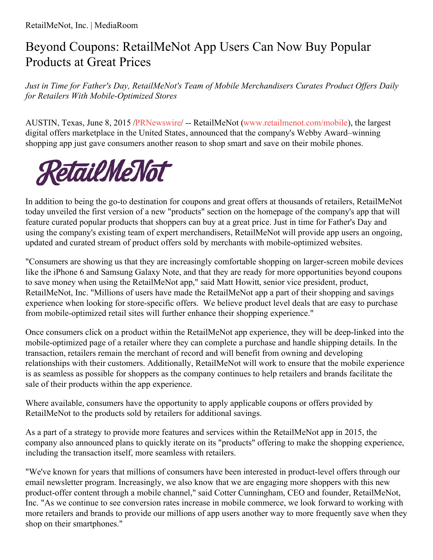## Beyond Coupons: RetailMeNot App Users Can Now Buy Popular Products at Great Prices

*Just in Time for Father's Day, RetailMeNot's Team of Mobile Merchandisers Curates Product Of ers Daily for Retailers With Mobile-Optimized Stores*

AUSTIN, Texas, June 8, 2015 [/PRNewswire](http://www.prnewswire.com/)/ -- RetailMeNot [\(www.retailmenot.com/mobile](http://www.retailmenot.com/mobile)), the largest digital offers marketplace in the United States, announced that the company's Webby Award–winning shopping app just gave consumers another reason to shop smart and save on their mobile phones.



In addition to being the go-to destination for coupons and great offers at thousands of retailers, RetailMeNot today unveiled the first version of a new "products" section on the homepage of the company's app that will feature curated popular products that shoppers can buy at a great price. Just in time for Father's Day and using the company's existing team of expert merchandisers, RetailMeNot will provide app users an ongoing, updated and curated stream of product offers sold by merchants with mobile-optimized websites.

"Consumers are showing us that they are increasingly comfortable shopping on larger-screen mobile devices like the iPhone 6 and Samsung Galaxy Note, and that they are ready for more opportunities beyond coupons to save money when using the RetailMeNot app," said Matt Howitt, senior vice president, product, RetailMeNot, Inc. "Millions of users have made the RetailMeNot app a part of their shopping and savings experience when looking for store-specific offers. We believe product level deals that are easy to purchase from mobile-optimized retail sites will further enhance their shopping experience."

Once consumers click on a product within the RetailMeNot app experience, they will be deep-linked into the mobile-optimized page of a retailer where they can complete a purchase and handle shipping details. In the transaction, retailers remain the merchant of record and will benefit from owning and developing relationships with their customers. Additionally, RetailMeNot will work to ensure that the mobile experience is as seamless as possible for shoppers as the company continues to help retailers and brands facilitate the sale of their products within the app experience.

Where available, consumers have the opportunity to apply applicable coupons or offers provided by RetailMeNot to the products sold by retailers for additional savings.

As a part of a strategy to provide more features and services within the RetailMeNot app in 2015, the company also announced plans to quickly iterate on its "products" offering to make the shopping experience, including the transaction itself, more seamless with retailers.

"We've known for years that millions of consumers have been interested in product-level offers through our email newsletter program. Increasingly, we also know that we are engaging more shoppers with this new product-offer content through a mobile channel," said Cotter Cunningham, CEO and founder, RetailMeNot, Inc. "As we continue to see conversion rates increase in mobile commerce, we look forward to working with more retailers and brands to provide our millions of app users another way to more frequently save when they shop on their smartphones."